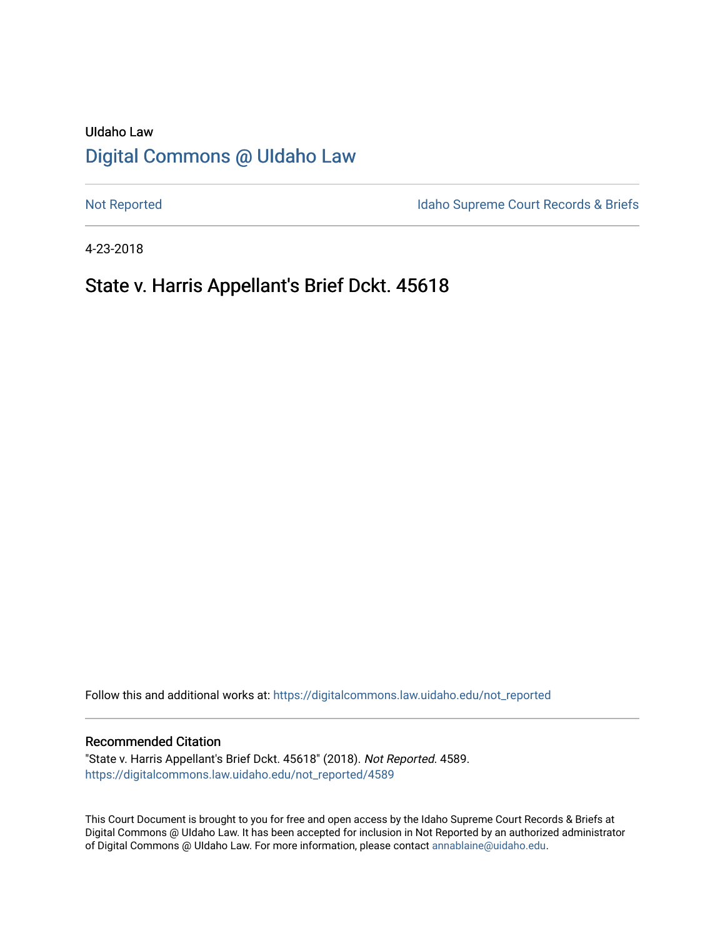# UIdaho Law [Digital Commons @ UIdaho Law](https://digitalcommons.law.uidaho.edu/)

[Not Reported](https://digitalcommons.law.uidaho.edu/not_reported) **Idaho Supreme Court Records & Briefs** 

4-23-2018

# State v. Harris Appellant's Brief Dckt. 45618

Follow this and additional works at: [https://digitalcommons.law.uidaho.edu/not\\_reported](https://digitalcommons.law.uidaho.edu/not_reported?utm_source=digitalcommons.law.uidaho.edu%2Fnot_reported%2F4589&utm_medium=PDF&utm_campaign=PDFCoverPages) 

#### Recommended Citation

"State v. Harris Appellant's Brief Dckt. 45618" (2018). Not Reported. 4589. [https://digitalcommons.law.uidaho.edu/not\\_reported/4589](https://digitalcommons.law.uidaho.edu/not_reported/4589?utm_source=digitalcommons.law.uidaho.edu%2Fnot_reported%2F4589&utm_medium=PDF&utm_campaign=PDFCoverPages)

This Court Document is brought to you for free and open access by the Idaho Supreme Court Records & Briefs at Digital Commons @ UIdaho Law. It has been accepted for inclusion in Not Reported by an authorized administrator of Digital Commons @ UIdaho Law. For more information, please contact [annablaine@uidaho.edu](mailto:annablaine@uidaho.edu).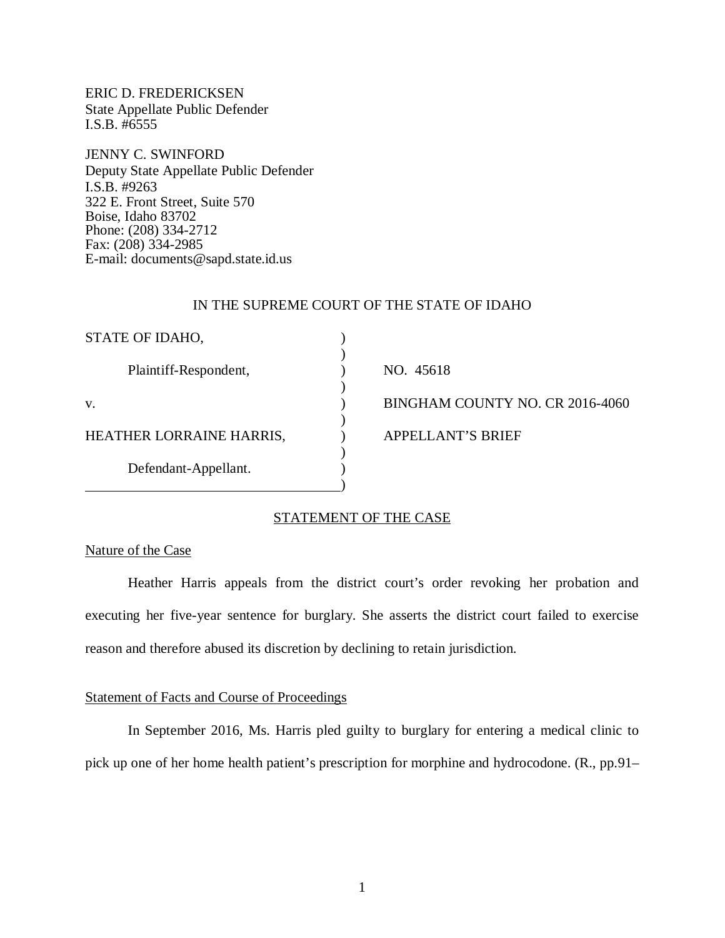ERIC D. FREDERICKSEN State Appellate Public Defender I.S.B. #6555

JENNY C. SWINFORD Deputy State Appellate Public Defender I.S.B. #9263 322 E. Front Street, Suite 570 Boise, Idaho 83702 Phone: (208) 334-2712 Fax: (208) 334-2985 E-mail: documents@sapd.state.id.us

## IN THE SUPREME COURT OF THE STATE OF IDAHO

| STATE OF IDAHO,          |                                 |
|--------------------------|---------------------------------|
| Plaintiff-Respondent,    | NO. 45618                       |
| V.                       | BINGHAM COUNTY NO. CR 2016-4060 |
| HEATHER LORRAINE HARRIS, | <b>APPELLANT'S BRIEF</b>        |
| Defendant-Appellant.     |                                 |

# STATEMENT OF THE CASE

## Nature of the Case

Heather Harris appeals from the district court's order revoking her probation and executing her five-year sentence for burglary. She asserts the district court failed to exercise reason and therefore abused its discretion by declining to retain jurisdiction.

## Statement of Facts and Course of Proceedings

In September 2016, Ms. Harris pled guilty to burglary for entering a medical clinic to pick up one of her home health patient's prescription for morphine and hydrocodone. (R., pp.91–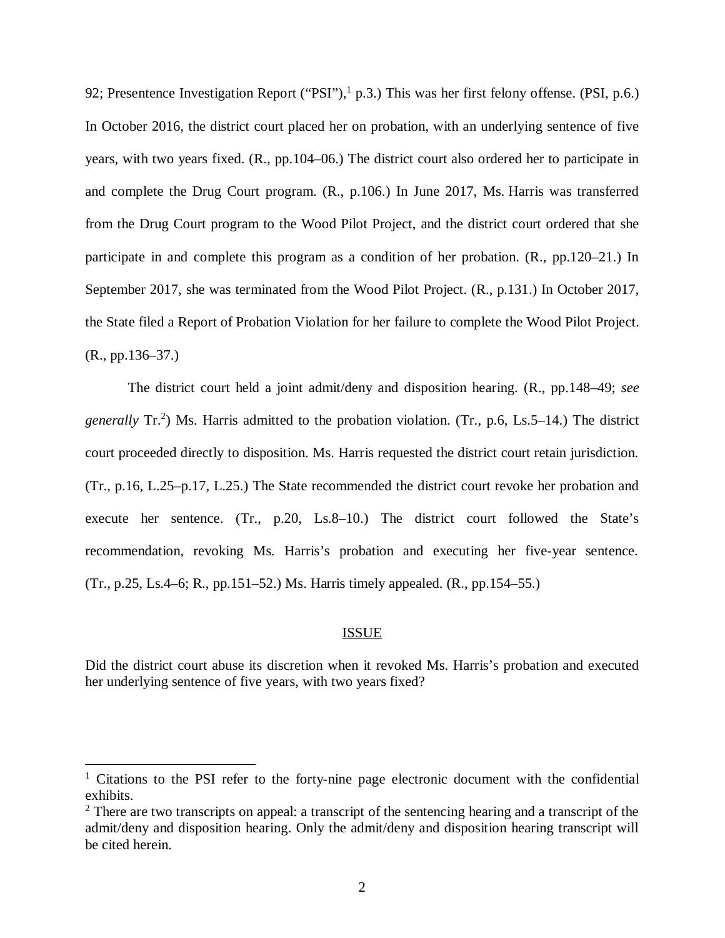92; Presentence Investigation Report ("PSI"), $1$  p.3.) This was her first felony offense. (PSI, p.6.) In October 2016, the district court placed her on probation, with an underlying sentence of five years, with two years fixed. (R., pp.104–06.) The district court also ordered her to participate in and complete the Drug Court program. (R., p.106.) In June 2017, Ms. Harris was transferred from the Drug Court program to the Wood Pilot Project, and the district court ordered that she participate in and complete this program as a condition of her probation. (R., pp.120–21.) In September 2017, she was terminated from the Wood Pilot Project. (R., p.131.) In October 2017, the State filed a Report of Probation Violation for her failure to complete the Wood Pilot Project. (R., pp.136–37.)

The district court held a joint admit/deny and disposition hearing. (R., pp.148–49; *see* generally Tr.<sup>[2](#page-2-1)</sup>) Ms. Harris admitted to the probation violation. (Tr., p.6, Ls.5–14.) The district court proceeded directly to disposition. Ms. Harris requested the district court retain jurisdiction. (Tr., p.16, L.25–p.17, L.25.) The State recommended the district court revoke her probation and execute her sentence. (Tr., p.20, Ls.8–10.) The district court followed the State's recommendation, revoking Ms. Harris's probation and executing her five-year sentence. (Tr., p.25, Ls.4–6; R., pp.151–52.) Ms. Harris timely appealed. (R., pp.154–55.)

### ISSUE

Did the district court abuse its discretion when it revoked Ms. Harris's probation and executed her underlying sentence of five years, with two years fixed?

<span id="page-2-0"></span><sup>&</sup>lt;sup>1</sup> Citations to the PSI refer to the forty-nine page electronic document with the confidential exhibits.

<span id="page-2-1"></span> $2$  There are two transcripts on appeal: a transcript of the sentencing hearing and a transcript of the admit/deny and disposition hearing. Only the admit/deny and disposition hearing transcript will be cited herein.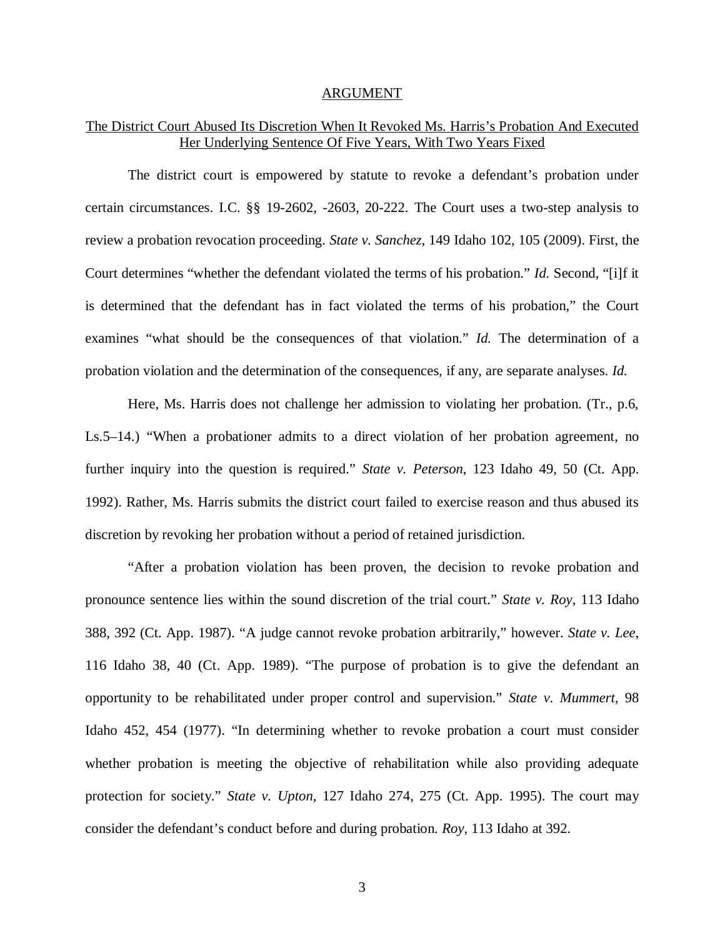#### ARGUMENT

## The District Court Abused Its Discretion When It Revoked Ms. Harris's Probation And Executed Her Underlying Sentence Of Five Years, With Two Years Fixed

The district court is empowered by statute to revoke a defendant's probation under certain circumstances. I.C. §§ 19-2602, -2603, 20-222. The Court uses a two-step analysis to review a probation revocation proceeding. *State v. Sanchez*, 149 Idaho 102, 105 (2009). First, the Court determines "whether the defendant violated the terms of his probation." *Id.* Second, "[i]f it is determined that the defendant has in fact violated the terms of his probation," the Court examines "what should be the consequences of that violation." *Id.* The determination of a probation violation and the determination of the consequences, if any, are separate analyses. *Id.*

Here, Ms. Harris does not challenge her admission to violating her probation. (Tr., p.6, Ls.5–14.) "When a probationer admits to a direct violation of her probation agreement, no further inquiry into the question is required." *State v. Peterson*, 123 Idaho 49, 50 (Ct. App. 1992). Rather, Ms. Harris submits the district court failed to exercise reason and thus abused its discretion by revoking her probation without a period of retained jurisdiction.

"After a probation violation has been proven, the decision to revoke probation and pronounce sentence lies within the sound discretion of the trial court." *State v. Roy*, 113 Idaho 388, 392 (Ct. App. 1987). "A judge cannot revoke probation arbitrarily," however. *State v. Lee*, 116 Idaho 38, 40 (Ct. App. 1989). "The purpose of probation is to give the defendant an opportunity to be rehabilitated under proper control and supervision." *State v. Mummert*, 98 Idaho 452, 454 (1977). "In determining whether to revoke probation a court must consider whether probation is meeting the objective of rehabilitation while also providing adequate protection for society." *State v. Upton*, 127 Idaho 274, 275 (Ct. App. 1995). The court may consider the defendant's conduct before and during probation. *Roy*, 113 Idaho at 392.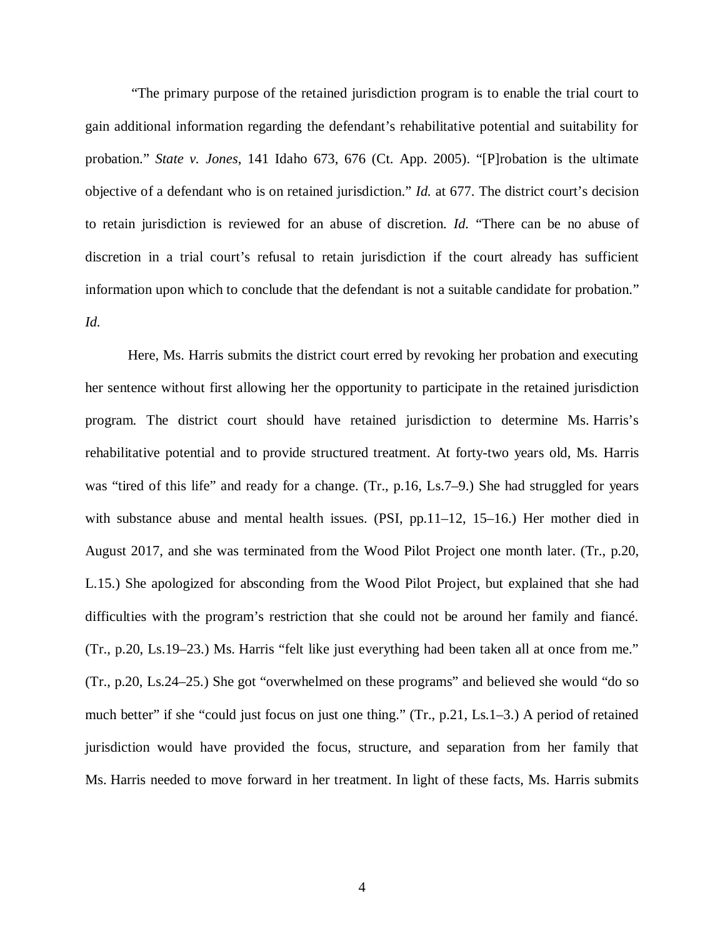"The primary purpose of the retained jurisdiction program is to enable the trial court to gain additional information regarding the defendant's rehabilitative potential and suitability for probation." *State v. Jones*, 141 Idaho 673, 676 (Ct. App. 2005). "[P]robation is the ultimate objective of a defendant who is on retained jurisdiction." *Id.* at 677. The district court's decision to retain jurisdiction is reviewed for an abuse of discretion. *Id.* "There can be no abuse of discretion in a trial court's refusal to retain jurisdiction if the court already has sufficient information upon which to conclude that the defendant is not a suitable candidate for probation." *Id.*

Here, Ms. Harris submits the district court erred by revoking her probation and executing her sentence without first allowing her the opportunity to participate in the retained jurisdiction program. The district court should have retained jurisdiction to determine Ms. Harris's rehabilitative potential and to provide structured treatment. At forty-two years old, Ms. Harris was "tired of this life" and ready for a change. (Tr., p.16, Ls.7–9.) She had struggled for years with substance abuse and mental health issues. (PSI, pp.11–12, 15–16.) Her mother died in August 2017, and she was terminated from the Wood Pilot Project one month later. (Tr., p.20, L.15.) She apologized for absconding from the Wood Pilot Project, but explained that she had difficulties with the program's restriction that she could not be around her family and fiancé. (Tr., p.20, Ls.19–23.) Ms. Harris "felt like just everything had been taken all at once from me." (Tr., p.20, Ls.24–25.) She got "overwhelmed on these programs" and believed she would "do so much better" if she "could just focus on just one thing." (Tr., p.21, Ls.1–3.) A period of retained jurisdiction would have provided the focus, structure, and separation from her family that Ms. Harris needed to move forward in her treatment. In light of these facts, Ms. Harris submits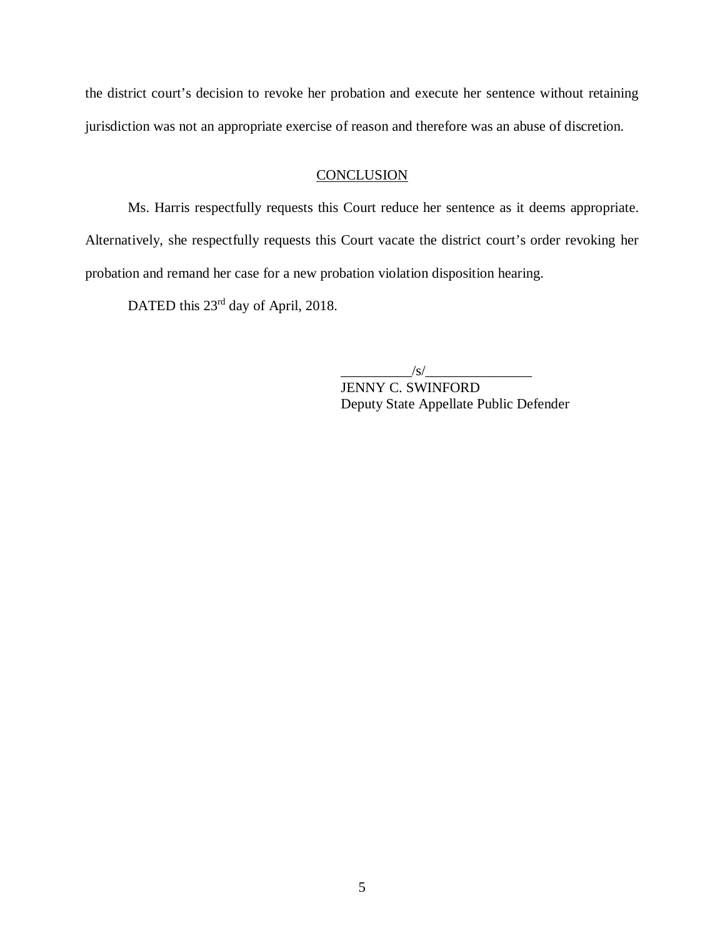the district court's decision to revoke her probation and execute her sentence without retaining jurisdiction was not an appropriate exercise of reason and therefore was an abuse of discretion.

## **CONCLUSION**

Ms. Harris respectfully requests this Court reduce her sentence as it deems appropriate. Alternatively, she respectfully requests this Court vacate the district court's order revoking her probation and remand her case for a new probation violation disposition hearing.

DATED this 23<sup>rd</sup> day of April, 2018.

 $\sqrt{s}/$ 

JENNY C. SWINFORD Deputy State Appellate Public Defender